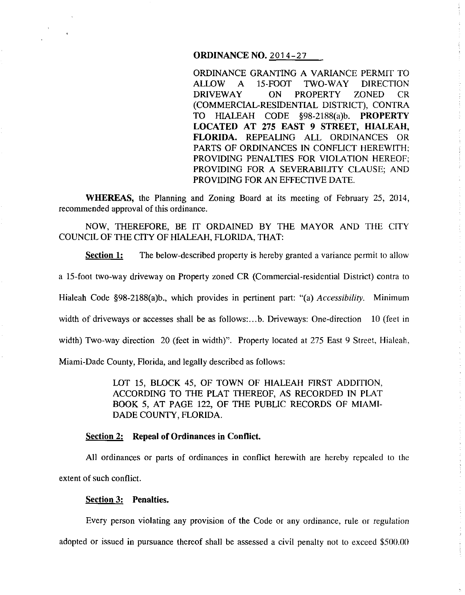# **ORDINANCE NO.** 2014-27

ORDINANCE GRANTING A VARIANCE PERMIT TO ALLOW A 15-FOOT TWO-WAY DIRECTION DRIVEWAY ON PROPERTY ZONED CR (COMMERCIAL-RESIDENTIAL DISTRICT), CONTRA TO HIALEAH CODE §98-2188(a)b. **PROPERTY LOCATED AT 275 EAST 9 STREET, HIALEAH, FLORIDA.** REPEALING ALL ORDINANCES OR PARTS OF ORDINANCES IN CONFLICT HEREWITH; PROVIDING PENALTIES FOR VIOLATION HEREOF; PROVIDING FOR A SEVERABILITY CLAUSE; AND PROVIDING FOR AN EFFECTIVE DATE.

 $\hat{\boldsymbol{\beta}}$ 

**WHEREAS,** the Planning and Zoning Board at its meeting of February 25, 2014, recommended approval of this ordinance.

NOW, THEREFORE, BE IT ORDAINED BY THE MAYOR AND THE CITY COUNCIL OF THE CITY OF HIALEAH, FLORIDA, THAT:

**Section 1:** The below-described property is hereby granted a variance permit to allow

a 15-foot two-way driveway on Property zoned CR (Commercial-residential District) contra to

Hialeah Code §98-2188(a)b., which provides in pertinent part: "(a) *Accessibility.* Minimum

width of driveways or accesses shall be as follows:...b. Driveways: One-direction 10 (feet in

width) Two-way direction 20 (feet in width)". Property located at 275 East 9 Street, Hialeah,

Miami-Dade County, Florida, and legally described as follows:

LOT 15, BLOCK 45, OF TOWN OF HIALEAH FIRST ADDITION, ACCORDING TO THE PLAT THEREOF, AS RECORDED IN PLAT BOOK 5, AT PAGE 122, OF THE PUBLIC RECORDS OF MIAMI-DADE COUNTY, FLORIDA.

#### **Section 2: Repeal of Ordinances in Conflict.**

All ordinances or parts of ordinances in conflict herewith are hereby repealed to the extent of such conflict.

# **Section 3: Penalties.**

Every person violating any provision of the Code or any ordinance, rule or regulation adopted or issued in pursuance thereof shall be assessed a civil penalty not to exceed \$500.00